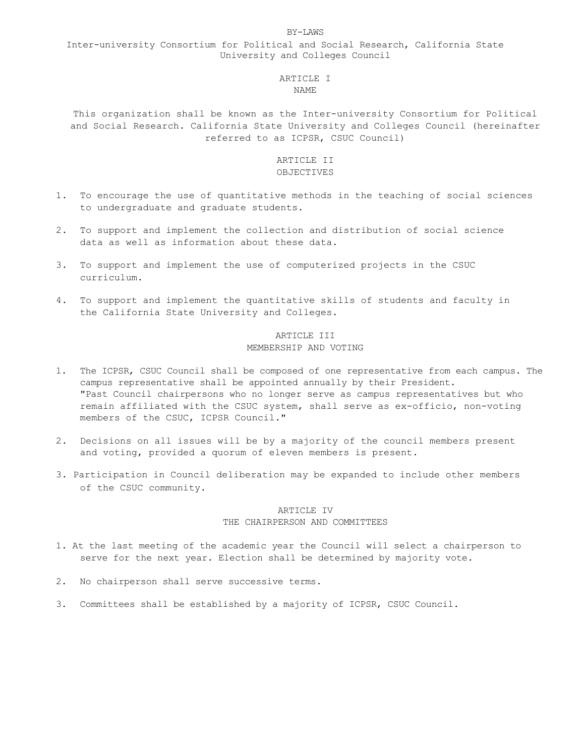#### BY-LAWS

## Inter-university Consortium for Political and Social Research, California State University and Colleges Council

### ARTICLE I NAME

This organization shall be known as the Inter-university Consortium for Political and Social Research. California State University and Colleges Council (hereinafter referred to as ICPSR, CSUC Council)

## ARTICLE II OBJECTIVES

- 1. To encourage the use of quantitative methods in the teaching of social sciences to undergraduate and graduate students.
- 2. To support and implement the collection and distribution of social science data as well as information about these data.
- 3. To support and implement the use of computerized projects in the CSUC curriculum.
- 4. To support and implement the quantitative skills of students and faculty in the California State University and Colleges.

## ARTICLE III MEMBERSHIP AND VOTING

- 1. The ICPSR, CSUC Council shall be composed of one representative from each campus. The campus representative shall be appointed annually by their President. "Past Council chairpersons who no longer serve as campus representatives but who remain affiliated with the CSUC system, shall serve as ex-officio, non-voting members of the CSUC, ICPSR Council."
- 2. Decisions on all issues will be by a majority of the council members present and voting, provided a quorum of eleven members is present.
- 3. Participation in Council deliberation may be expanded to include other members of the CSUC community.

### ARTICLE IV THE CHAIRPERSON AND COMMITTEES

- 1. At the last meeting of the academic year the Council will select a chairperson to serve for the next year. Election shall be determined by majority vote.
- 2. No chairperson shall serve successive terms.
- 3. Committees shall be established by a majority of ICPSR, CSUC Council.